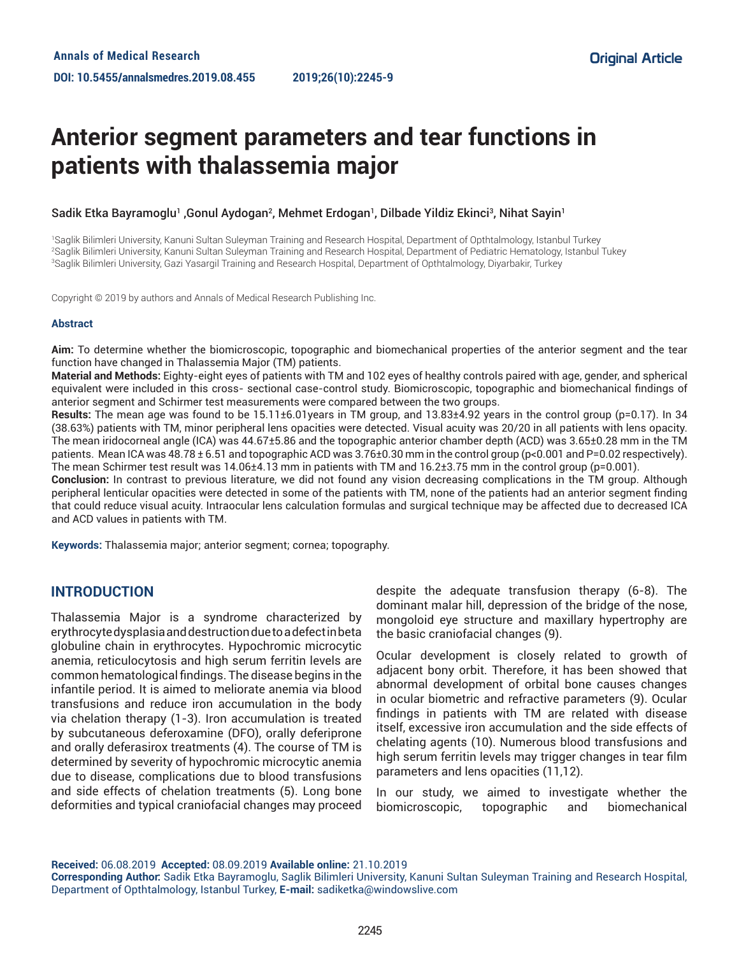# **Anterior segment parameters and tear functions in patients with thalassemia major**

## Sadik Etka Bayramoglu<sup>1</sup> ,Gonul Aydogan<sup>2</sup>, Mehmet Erdogan<sup>1</sup>, Dilbade Yildiz Ekinci<sup>3</sup>, Nihat Sayin<sup>1</sup>

1 Saglik Bilimleri University, Kanuni Sultan Suleyman Training and Research Hospital, Department of Opthtalmology, Istanbul Turkey 2 Saglik Bilimleri University, Kanuni Sultan Suleyman Training and Research Hospital, Department of Pediatric Hematology, Istanbul Tukey 3 Saglik Bilimleri University, Gazi Yasargil Training and Research Hospital, Department of Opthtalmology, Diyarbakir, Turkey

Copyright © 2019 by authors and Annals of Medical Research Publishing Inc.

#### **Abstract**

**Aim:** To determine whether the biomicroscopic, topographic and biomechanical properties of the anterior segment and the tear function have changed in Thalassemia Major (TM) patients.

**Material and Methods:** Eighty-eight eyes of patients with TM and 102 eyes of healthy controls paired with age, gender, and spherical equivalent were included in this cross- sectional case-control study. Biomicroscopic, topographic and biomechanical findings of anterior segment and Schirmer test measurements were compared between the two groups.

**Results:** The mean age was found to be 15.11±6.01years in TM group, and 13.83±4.92 years in the control group (p=0.17). In 34 (38.63%) patients with TM, minor peripheral lens opacities were detected. Visual acuity was 20/20 in all patients with lens opacity. The mean iridocorneal angle (ICA) was 44.67±5.86 and the topographic anterior chamber depth (ACD) was 3.65±0.28 mm in the TM patients. Mean ICA was 48.78 ± 6.51 and topographic ACD was 3.76±0.30 mm in the control group (p<0.001 and P=0.02 respectively). The mean Schirmer test result was 14.06±4.13 mm in patients with TM and 16.2±3.75 mm in the control group (p=0.001).

**Conclusion:** In contrast to previous literature, we did not found any vision decreasing complications in the TM group. Although peripheral lenticular opacities were detected in some of the patients with TM, none of the patients had an anterior segment finding that could reduce visual acuity. Intraocular lens calculation formulas and surgical technique may be affected due to decreased ICA and ACD values in patients with TM.

**Keywords:** Thalassemia major; anterior segment; cornea; topography.

# **INTRODUCTION**

Thalassemia Major is a syndrome characterized by erythrocyte dysplasia and destruction due to a defect in beta globuline chain in erythrocytes. Hypochromic microcytic anemia, reticulocytosis and high serum ferritin levels are common hematological findings. The disease begins in the infantile period. It is aimed to meliorate anemia via blood transfusions and reduce iron accumulation in the body via chelation therapy (1-3). Iron accumulation is treated by subcutaneous deferoxamine (DFO), orally deferiprone and orally deferasirox treatments (4). The course of TM is determined by severity of hypochromic microcytic anemia due to disease, complications due to blood transfusions and side effects of chelation treatments (5). Long bone deformities and typical craniofacial changes may proceed

despite the adequate transfusion therapy (6-8). The dominant malar hill, depression of the bridge of the nose, mongoloid eye structure and maxillary hypertrophy are the basic craniofacial changes (9).

Ocular development is closely related to growth of adjacent bony orbit. Therefore, it has been showed that abnormal development of orbital bone causes changes in ocular biometric and refractive parameters (9). Ocular findings in patients with TM are related with disease itself, excessive iron accumulation and the side effects of chelating agents (10). Numerous blood transfusions and high serum ferritin levels may trigger changes in tear film parameters and lens opacities (11,12).

In our study, we aimed to investigate whether the biomicroscopic, topographic and biomechanical

**Received:** 06.08.2019 **Accepted:** 08.09.2019 **Available online:** 21.10.2019 **Corresponding Author:** Sadik Etka Bayramoglu, Saglik Bilimleri University, Kanuni Sultan Suleyman Training and Research Hospital, Department of Opthtalmology, Istanbul Turkey, **E-mail:** sadiketka@windowslive.com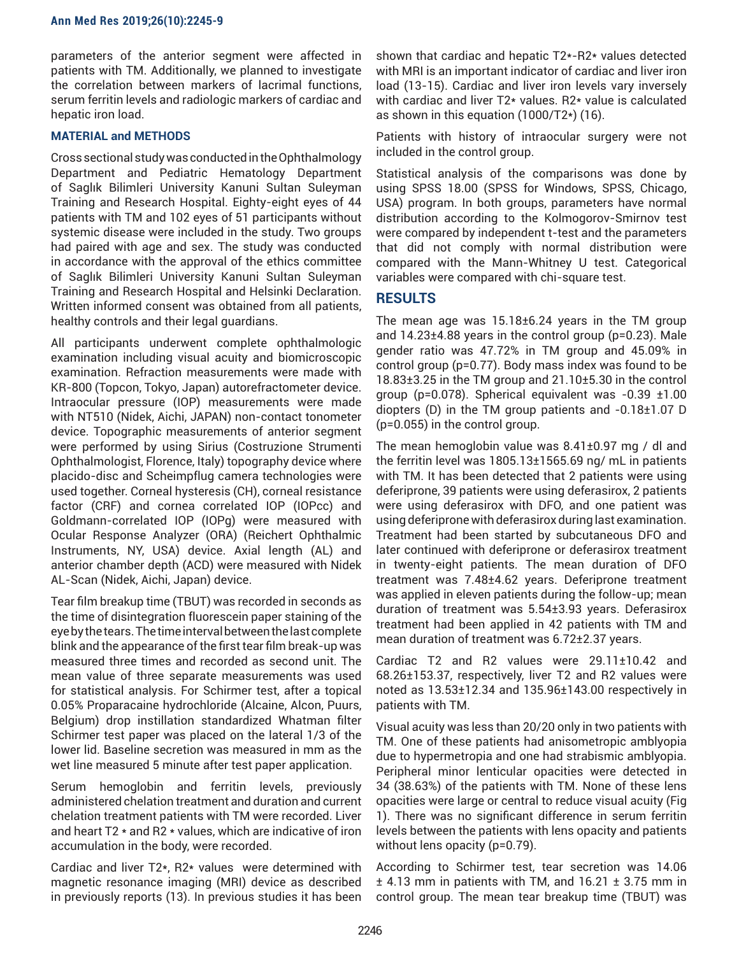parameters of the anterior segment were affected in patients with TM. Additionally, we planned to investigate the correlation between markers of lacrimal functions, serum ferritin levels and radiologic markers of cardiac and hepatic iron load.

## **MATERIAL and METHODS**

Cross sectional study was conducted in the Ophthalmology Department and Pediatric Hematology Department of Saglık Bilimleri University Kanuni Sultan Suleyman Training and Research Hospital. Eighty-eight eyes of 44 patients with TM and 102 eyes of 51 participants without systemic disease were included in the study. Two groups had paired with age and sex. The study was conducted in accordance with the approval of the ethics committee of Saglık Bilimleri University Kanuni Sultan Suleyman Training and Research Hospital and Helsinki Declaration. Written informed consent was obtained from all patients, healthy controls and their legal guardians.

All participants underwent complete ophthalmologic examination including visual acuity and biomicroscopic examination. Refraction measurements were made with KR-800 (Topcon, Tokyo, Japan) autorefractometer device. Intraocular pressure (IOP) measurements were made with NT510 (Nidek, Aichi, JAPAN) non-contact tonometer device. Topographic measurements of anterior segment were performed by using Sirius (Costruzione Strumenti Ophthalmologist, Florence, Italy) topography device where placido-disc and Scheimpflug camera technologies were used together. Corneal hysteresis (CH), corneal resistance factor (CRF) and cornea correlated IOP (IOPcc) and Goldmann-correlated IOP (IOPg) were measured with Ocular Response Analyzer (ORA) (Reichert Ophthalmic Instruments, NY, USA) device. Axial length (AL) and anterior chamber depth (ACD) were measured with Nidek AL-Scan (Nidek, Aichi, Japan) device.

Tear film breakup time (TBUT) was recorded in seconds as the time of disintegration fluorescein paper staining of the eye by the tears. The time interval between the last complete blink and the appearance of the first tear film break-up was measured three times and recorded as second unit. The mean value of three separate measurements was used for statistical analysis. For Schirmer test, after a topical 0.05% Proparacaine hydrochloride (Alcaine, Alcon, Puurs, Belgium) drop instillation standardized Whatman filter Schirmer test paper was placed on the lateral 1/3 of the lower lid. Baseline secretion was measured in mm as the wet line measured 5 minute after test paper application.

Serum hemoglobin and ferritin levels, previously administered chelation treatment and duration and current chelation treatment patients with TM were recorded. Liver and heart T2 \* and R2 \* values, which are indicative of iron accumulation in the body, were recorded.

Cardiac and liver T2\*, R2\* values were determined with magnetic resonance imaging (MRI) device as described in previously reports (13). In previous studies it has been shown that cardiac and hepatic T2\*-R2\* values detected with MRI is an important indicator of cardiac and liver iron load (13-15). Cardiac and liver iron levels vary inversely with cardiac and liver T2\* values. R2\* value is calculated as shown in this equation (1000/T2\*) (16).

Patients with history of intraocular surgery were not included in the control group.

Statistical analysis of the comparisons was done by using SPSS 18.00 (SPSS for Windows, SPSS, Chicago, USA) program. In both groups, parameters have normal distribution according to the Kolmogorov-Smirnov test were compared by independent t-test and the parameters that did not comply with normal distribution were compared with the Mann-Whitney U test. Categorical variables were compared with chi-square test.

# **RESULTS**

The mean age was  $15.18\pm6.24$  years in the TM group and 14.23±4.88 years in the control group (p=0.23). Male gender ratio was 47.72% in TM group and 45.09% in control group (p=0.77). Body mass index was found to be 18.83±3.25 in the TM group and 21.10±5.30 in the control group ( $p=0.078$ ). Spherical equivalent was  $-0.39 \pm 1.00$ diopters (D) in the TM group patients and -0.18±1.07 D (p=0.055) in the control group.

The mean hemoglobin value was 8.41±0.97 mg / dl and the ferritin level was 1805.13±1565.69 ng/ mL in patients with TM. It has been detected that 2 patients were using deferiprone, 39 patients were using deferasirox, 2 patients were using deferasirox with DFO, and one patient was using deferiprone with deferasirox during last examination. Treatment had been started by subcutaneous DFO and later continued with deferiprone or deferasirox treatment in twenty-eight patients. The mean duration of DFO treatment was 7.48±4.62 years. Deferiprone treatment was applied in eleven patients during the follow-up; mean duration of treatment was 5.54±3.93 years. Deferasirox treatment had been applied in 42 patients with TM and mean duration of treatment was 6.72±2.37 years.

Cardiac T2 and R2 values were 29.11±10.42 and 68.26±153.37, respectively, liver T2 and R2 values were noted as 13.53±12.34 and 135.96±143.00 respectively in patients with TM.

Visual acuity was less than 20/20 only in two patients with TM. One of these patients had anisometropic amblyopia due to hypermetropia and one had strabismic amblyopia. Peripheral minor lenticular opacities were detected in 34 (38.63%) of the patients with TM. None of these lens opacities were large or central to reduce visual acuity (Fig 1). There was no significant difference in serum ferritin levels between the patients with lens opacity and patients without lens opacity (p=0.79).

According to Schirmer test, tear secretion was 14.06  $±$  4.13 mm in patients with TM, and 16.21  $±$  3.75 mm in control group. The mean tear breakup time (TBUT) was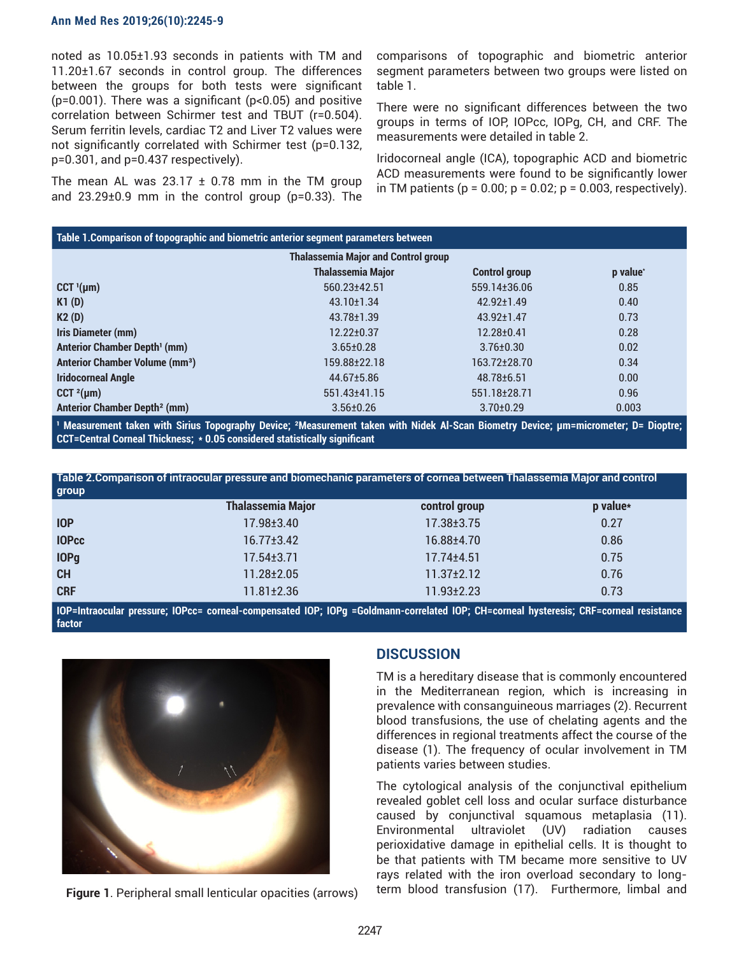#### **Ann Med Res 2019;26(10):2245-9**

noted as 10.05±1.93 seconds in patients with TM and 11.20±1.67 seconds in control group. The differences between the groups for both tests were significant ( $p=0.001$ ). There was a significant ( $p<0.05$ ) and positive correlation between Schirmer test and TBUT (r=0.504). Serum ferritin levels, cardiac T2 and Liver T2 values were not significantly correlated with Schirmer test (p=0.132, p=0.301, and p=0.437 respectively).

The mean AL was  $23.17 \pm 0.78$  mm in the TM group and 23.29±0.9 mm in the control group (p=0.33). The comparisons of topographic and biometric anterior segment parameters between two groups were listed on table 1.

There were no significant differences between the two groups in terms of IOP, IOPcc, IOPg, CH, and CRF. The measurements were detailed in table 2.

Iridocorneal angle (ICA), topographic ACD and biometric ACD measurements were found to be significantly lower in TM patients ( $p = 0.00$ ;  $p = 0.02$ ;  $p = 0.003$ , respectively).

| Table 1. Comparison of topographic and biometric anterior segment parameters between |                          |                      |          |  |
|--------------------------------------------------------------------------------------|--------------------------|----------------------|----------|--|
| <b>Thalassemia Major and Control group</b>                                           |                          |                      |          |  |
|                                                                                      | <b>Thalassemia Major</b> | <b>Control group</b> | p value* |  |
| $CCT$ <sup><math>I</math></sup> (µm)                                                 | 560.23±42.51             | 559.14±36.06         | 0.85     |  |
| K1(D)                                                                                | $43.10 \pm 1.34$         | $42.92 \pm 1.49$     | 0.40     |  |
| K2(D)                                                                                | $43.78 \pm 1.39$         | $43.92 \pm 1.47$     | 0.73     |  |
| Iris Diameter (mm)                                                                   | 12.22±0.37               | $12.28 + 0.41$       | 0.28     |  |
| <b>Anterior Chamber Depth' (mm)</b>                                                  | $3.65 \pm 0.28$          | $3.76 \pm 0.30$      | 0.02     |  |
| <b>Anterior Chamber Volume (mm<sup>3</sup>)</b>                                      | 159.88±22.18             | 163.72±28.70         | 0.34     |  |
| <b>Iridocorneal Angle</b>                                                            | 44.67±5.86               | 48.78±6.51           | 0.00     |  |
| CCT $^{2}$ (µm)                                                                      | 551.43±41.15             | 551.18±28.71         | 0.96     |  |
| <b>Anterior Chamber Depth<sup>2</sup> (mm)</b>                                       | $3.56 \pm 0.26$          | $3.70 + 0.29$        | 0.003    |  |

**¹ Measurement taken with Sirius Topography Device; ²Measurement taken with Nidek Al-Scan Biometry Device; µm=micrometer; D= Dioptre; CCT=Central Corneal Thickness; \* 0.05 considered statistically significant**

**Table 2.Comparison of intraocular pressure and biomechanic parameters of cornea between Thalassemia Major and control group**

|              | <b>Thalassemia Major</b> | control group    | p value* |
|--------------|--------------------------|------------------|----------|
| <b>IOP</b>   | $17.98 \pm 3.40$         | $17.38 \pm 3.75$ | 0.27     |
| <b>IOPcc</b> | $16.77 \pm 3.42$         | 16.88±4.70       | 0.86     |
| <b>IOPg</b>  | $17.54 \pm 3.71$         | $17.74 \pm 4.51$ | 0.75     |
| CH           | $11.28 \pm 2.05$         | $11.37 \pm 2.12$ | 0.76     |
| <b>CRF</b>   | $11.81 \pm 2.36$         | $11.93 \pm 2.23$ | 0.73     |
|              |                          |                  |          |

**IOP=Intraocular pressure; IOPcc= corneal-compensated IOP; IOPg =Goldmann-correlated IOP; CH=corneal hysteresis; CRF=corneal resistance factor**



**Figure 1**. Peripheral small lenticular opacities (arrows)

# **DISCUSSION**

TM is a hereditary disease that is commonly encountered in the Mediterranean region, which is increasing in prevalence with consanguineous marriages (2). Recurrent blood transfusions, the use of chelating agents and the differences in regional treatments affect the course of the disease (1). The frequency of ocular involvement in TM patients varies between studies.

The cytological analysis of the conjunctival epithelium revealed goblet cell loss and ocular surface disturbance caused by conjunctival squamous metaplasia (11). Environmental ultraviolet (UV) radiation causes perioxidative damage in epithelial cells. It is thought to be that patients with TM became more sensitive to UV rays related with the iron overload secondary to longterm blood transfusion (17). Furthermore, limbal and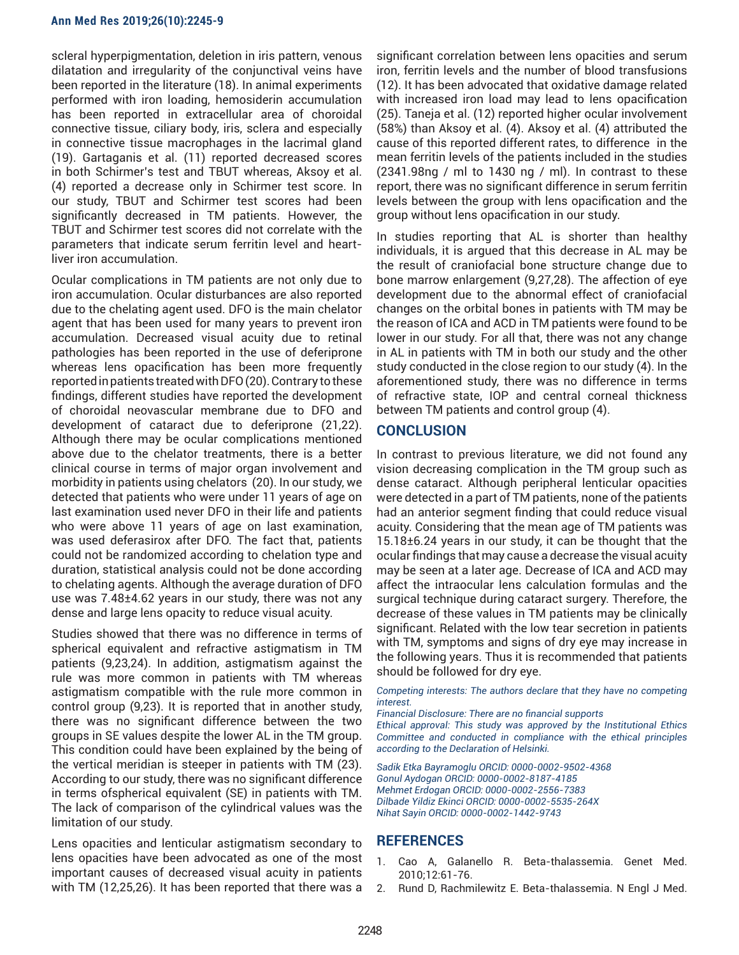#### **Ann Med Res 2019;26(10):2245-9**

scleral hyperpigmentation, deletion in iris pattern, venous dilatation and irregularity of the conjunctival veins have been reported in the literature (18). In animal experiments performed with iron loading, hemosiderin accumulation has been reported in extracellular area of choroidal connective tissue, ciliary body, iris, sclera and especially in connective tissue macrophages in the lacrimal gland (19). Gartaganis et al. (11) reported decreased scores in both Schirmer's test and TBUT whereas, Aksoy et al. (4) reported a decrease only in Schirmer test score. In our study, TBUT and Schirmer test scores had been significantly decreased in TM patients. However, the TBUT and Schirmer test scores did not correlate with the parameters that indicate serum ferritin level and heartliver iron accumulation.

Ocular complications in TM patients are not only due to iron accumulation. Ocular disturbances are also reported due to the chelating agent used. DFO is the main chelator agent that has been used for many years to prevent iron accumulation. Decreased visual acuity due to retinal pathologies has been reported in the use of deferiprone whereas lens opacification has been more frequently reported in patients treated with DFO (20). Contrary to these findings, different studies have reported the development of choroidal neovascular membrane due to DFO and development of cataract due to deferiprone (21,22). Although there may be ocular complications mentioned above due to the chelator treatments, there is a better clinical course in terms of major organ involvement and morbidity in patients using chelators (20). In our study, we detected that patients who were under 11 years of age on last examination used never DFO in their life and patients who were above 11 years of age on last examination, was used deferasirox after DFO. The fact that, patients could not be randomized according to chelation type and duration, statistical analysis could not be done according to chelating agents. Although the average duration of DFO use was 7.48±4.62 years in our study, there was not any dense and large lens opacity to reduce visual acuity.

Studies showed that there was no difference in terms of spherical equivalent and refractive astigmatism in TM patients (9,23,24). In addition, astigmatism against the rule was more common in patients with TM whereas astigmatism compatible with the rule more common in control group (9,23). It is reported that in another study, there was no significant difference between the two groups in SE values despite the lower AL in the TM group. This condition could have been explained by the being of the vertical meridian is steeper in patients with TM (23). According to our study, there was no significant difference in terms ofspherical equivalent (SE) in patients with TM. The lack of comparison of the cylindrical values was the limitation of our study.

Lens opacities and lenticular astigmatism secondary to lens opacities have been advocated as one of the most important causes of decreased visual acuity in patients with TM (12,25,26). It has been reported that there was a

significant correlation between lens opacities and serum iron, ferritin levels and the number of blood transfusions (12). It has been advocated that oxidative damage related with increased iron load may lead to lens opacification (25). Taneja et al. (12) reported higher ocular involvement (58%) than Aksoy et al. (4). Aksoy et al. (4) attributed the cause of this reported different rates, to difference in the mean ferritin levels of the patients included in the studies (2341.98ng / ml to 1430 ng / ml). In contrast to these report, there was no significant difference in serum ferritin levels between the group with lens opacification and the group without lens opacification in our study.

In studies reporting that AL is shorter than healthy individuals, it is argued that this decrease in AL may be the result of craniofacial bone structure change due to bone marrow enlargement (9,27,28). The affection of eye development due to the abnormal effect of craniofacial changes on the orbital bones in patients with TM may be the reason of ICA and ACD in TM patients were found to be lower in our study. For all that, there was not any change in AL in patients with TM in both our study and the other study conducted in the close region to our study (4). In the aforementioned study, there was no difference in terms of refractive state, IOP and central corneal thickness between TM patients and control group (4).

## **CONCLUSION**

In contrast to previous literature, we did not found any vision decreasing complication in the TM group such as dense cataract. Although peripheral lenticular opacities were detected in a part of TM patients, none of the patients had an anterior segment finding that could reduce visual acuity. Considering that the mean age of TM patients was 15.18±6.24 years in our study, it can be thought that the ocular findings that may cause a decrease the visual acuity may be seen at a later age. Decrease of ICA and ACD may affect the intraocular lens calculation formulas and the surgical technique during cataract surgery. Therefore, the decrease of these values in TM patients may be clinically significant. Related with the low tear secretion in patients with TM, symptoms and signs of dry eye may increase in the following years. Thus it is recommended that patients should be followed for dry eye.

*Competing interests: The authors declare that they have no competing interest.*

*Financial Disclosure: There are no financial supports* 

*Ethical approval: This study was approved by the Institutional Ethics Committee and conducted in compliance with the ethical principles according to the Declaration of Helsinki.*

*Sadik Etka Bayramoglu ORCID: 0000-0002-9502-4368 Gonul Aydogan ORCID: 0000-0002-8187-4185 Mehmet Erdogan ORCID: 0000-0002-2556-7383 Dilbade Yildiz Ekinci ORCID: 0000-0002-5535-264X Nihat Sayin ORCID: 0000-0002-1442-9743*

## **REFERENCES**

- 1. Cao A, Galanello R. Beta-thalassemia. Genet Med. 2010;12:61-76.
- 2. Rund D, Rachmilewitz E. Beta-thalassemia. N Engl J Med.